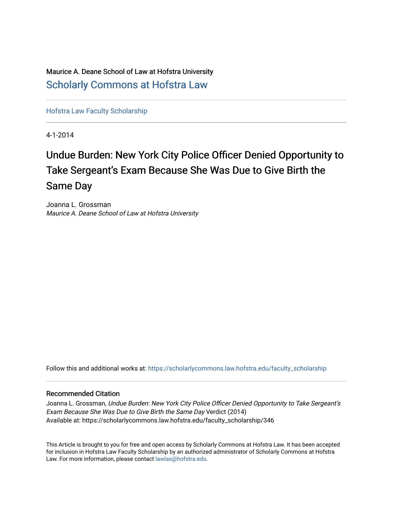Maurice A. Deane School of Law at Hofstra University [Scholarly Commons at Hofstra Law](https://scholarlycommons.law.hofstra.edu/) 

[Hofstra Law Faculty Scholarship](https://scholarlycommons.law.hofstra.edu/faculty_scholarship) 

4-1-2014

# Undue Burden: New York City Police Officer Denied Opportunity to Take Sergeant's Exam Because She Was Due to Give Birth the Same Day

Joanna L. Grossman Maurice A. Deane School of Law at Hofstra University

Follow this and additional works at: [https://scholarlycommons.law.hofstra.edu/faculty\\_scholarship](https://scholarlycommons.law.hofstra.edu/faculty_scholarship?utm_source=scholarlycommons.law.hofstra.edu%2Ffaculty_scholarship%2F346&utm_medium=PDF&utm_campaign=PDFCoverPages)

#### Recommended Citation

Joanna L. Grossman, Undue Burden: New York City Police Officer Denied Opportunity to Take Sergeant's Exam Because She Was Due to Give Birth the Same Day Verdict (2014) Available at: https://scholarlycommons.law.hofstra.edu/faculty\_scholarship/346

This Article is brought to you for free and open access by Scholarly Commons at Hofstra Law. It has been accepted for inclusion in Hofstra Law Faculty Scholarship by an authorized administrator of Scholarly Commons at Hofstra Law. For more information, please contact [lawlas@hofstra.edu.](mailto:lawlas@hofstra.edu)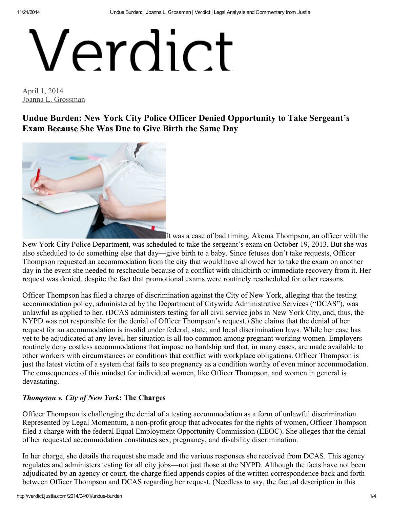# Verdict

April 1, 2014 Joanna L. [Grossman](http://verdict.justia.com/author/grossman)

Undue Burden: New York City Police Officer Denied Opportunity to Take Sergeant's Exam Because She Was Due to Give Birth the Same Day



It was a case of bad timing. Akema Thompson, an officer with the

New York City Police Department, was scheduled to take the sergeant's exam on October 19, 2013. But she was also scheduled to do something else that day—give birth to a baby. Since fetuses don't take requests, Officer Thompson requested an accommodation from the city that would have allowed her to take the exam on another day in the event she needed to reschedule because of a conflict with childbirth or immediate recovery from it. Her request was denied, despite the fact that promotional exams were routinely rescheduled for other reasons.

Officer Thompson has filed a charge of discrimination against the City of New York, alleging that the testing accommodation policy, administered by the Department of Citywide Administrative Services ("DCAS"), was unlawful as applied to her. (DCAS administers testing for all civil service jobs in New York City, and, thus, the NYPD was not responsible for the denial of Officer Thompson's request.) She claims that the denial of her request for an accommodation is invalid under federal, state, and local discrimination laws. While her case has yet to be adjudicated at any level, her situation is all too common among pregnant working women. Employers routinely deny costless accommodations that impose no hardship and that, in many cases, are made available to other workers with circumstances or conditions that conflict with workplace obligations. Officer Thompson is just the latest victim of a system that fails to see pregnancy as a condition worthy of even minor accommodation. The consequences of this mindset for individual women, like Officer Thompson, and women in general is devastating.

#### Thompson v. City of New York: The Charges

Officer Thompson is challenging the denial of a testing accommodation as a form of unlawful discrimination. Represented by Legal Momentum, a non-profit group that advocates for the rights of women, Officer Thompson filed a charge with the federal Equal Employment Opportunity Commission (EEOC). She alleges that the denial of her requested accommodation constitutes sex, pregnancy, and disability discrimination.

In her charge, she details the request she made and the various responses she received from DCAS. This agency regulates and administers testing for all city jobs—not just those at the NYPD. Although the facts have not been adjudicated by an agency or court, the charge filed appends copies of the written correspondence back and forth between Officer Thompson and DCAS regarding her request. (Needless to say, the factual description in this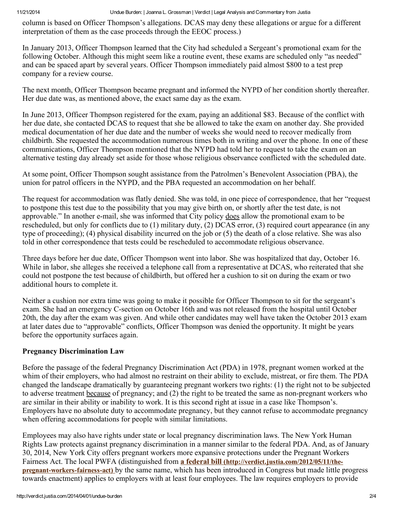11/21/2014 Undue Burden: | Joanna L. Grossman | Verdict | Legal Analysis and Commentary from Justia

column is based on Officer Thompson's allegations. DCAS may deny these allegations or argue for a different interpretation of them as the case proceeds through the EEOC process.)

In January 2013, Officer Thompson learned that the City had scheduled a Sergeant's promotional exam for the following October. Although this might seem like a routine event, these exams are scheduled only "as needed" and can be spaced apart by several years. Officer Thompson immediately paid almost \$800 to a test prep company for a review course.

The next month, Officer Thompson became pregnant and informed the NYPD of her condition shortly thereafter. Her due date was, as mentioned above, the exact same day as the exam.

In June 2013, Officer Thompson registered for the exam, paying an additional \$83. Because of the conflict with her due date, she contacted DCAS to request that she be allowed to take the exam on another day. She provided medical documentation of her due date and the number of weeks she would need to recover medically from childbirth. She requested the accommodation numerous times both in writing and over the phone. In one of these communications, Officer Thompson mentioned that the NYPD had told her to request to take the exam on an alternative testing day already set aside for those whose religious observance conflicted with the scheduled date.

At some point, Officer Thompson sought assistance from the Patrolmen's Benevolent Association (PBA), the union for patrol officers in the NYPD, and the PBA requested an accommodation on her behalf.

The request for accommodation was flatly denied. She was told, in one piece of correspondence, that her "request to postpone this test due to the possibility that you may give birth on, or shortly after the test date, is not approvable." In another e-mail, she was informed that City policy does allow the promotional exam to be rescheduled, but only for conflicts due to (1) military duty, (2) DCAS error, (3) required court appearance (in any type of proceeding); (4) physical disability incurred on the job or (5) the death of a close relative. She was also told in other correspondence that tests could be rescheduled to accommodate religious observance.

Three days before her due date, Officer Thompson went into labor. She was hospitalized that day, October 16. While in labor, she alleges she received a telephone call from a representative at DCAS, who reiterated that she could not postpone the test because of childbirth, but offered her a cushion to sit on during the exam or two additional hours to complete it.

Neither a cushion nor extra time was going to make it possible for Officer Thompson to sit for the sergeant's exam. She had an emergency C-section on October 16th and was not released from the hospital until October 20th, the day after the exam was given. And while other candidates may well have taken the October 2013 exam at later dates due to "approvable" conflicts, Officer Thompson was denied the opportunity. It might be years before the opportunity surfaces again.

## Pregnancy Discrimination Law

Before the passage of the federal Pregnancy Discrimination Act (PDA) in 1978, pregnant women worked at the whim of their employers, who had almost no restraint on their ability to exclude, mistreat, or fire them. The PDA changed the landscape dramatically by guaranteeing pregnant workers two rights: (1) the right not to be subjected to adverse treatment because of pregnancy; and (2) the right to be treated the same as non-pregnant workers who are similar in their ability or inability to work. It is this second right at issue in a case like Thompson's. Employers have no absolute duty to accommodate pregnancy, but they cannot refuse to accommodate pregnancy when offering accommodations for people with similar limitations.

Employees may also have rights under state or local pregnancy discrimination laws. The New York Human Rights Law protects against pregnancy discrimination in a manner similar to the federal PDA. And, as of January 30, 2014, New York City offers pregnant workers more expansive protections under the Pregnant Workers Fairness Act. The local PWFA (distinguished from a federal bill [\(http://verdict.justia.com/2012/05/11/the](http://verdict.justia.com/2012/05/11/the-pregnant-workers-fairness-act)pregnant-workers-fairness-act) by the same name, which has been introduced in Congress but made little progress towards enactment) applies to employers with at least four employees. The law requires employers to provide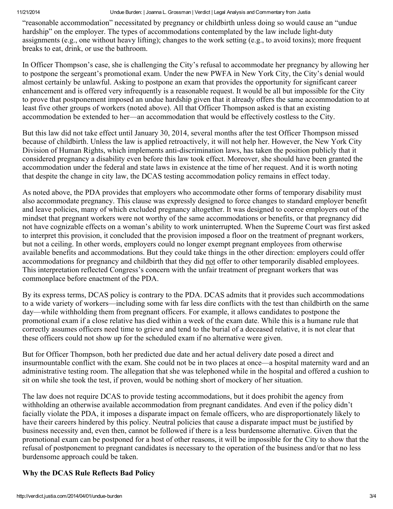11/21/2014 Undue Burden: | Joanna L. Grossman | Verdict | Legal Analysis and Commentary from Justia

"reasonable accommodation" necessitated by pregnancy or childbirth unless doing so would cause an "undue hardship" on the employer. The types of accommodations contemplated by the law include light-duty assignments (e.g., one without heavy lifting); changes to the work setting (e.g., to avoid toxins); more frequent breaks to eat, drink, or use the bathroom.

In Officer Thompson's case, she is challenging the City's refusal to accommodate her pregnancy by allowing her to postpone the sergeant's promotional exam. Under the new PWFA in New York City, the City's denial would almost certainly be unlawful. Asking to postpone an exam that provides the opportunity for significant career enhancement and is offered very infrequently is a reasonable request. It would be all but impossible for the City to prove that postponement imposed an undue hardship given that it already offers the same accommodation to at least five other groups of workers (noted above). All that Officer Thompson asked is that an existing accommodation be extended to her—an accommodation that would be effectively costless to the City.

But this law did not take effect until January 30, 2014, several months after the test Officer Thompson missed because of childbirth. Unless the law is applied retroactively, it will not help her. However, the New York City Division of Human Rights, which implements anti-discrimination laws, has taken the position publicly that it considered pregnancy a disability even before this law took effect. Moreover, she should have been granted the accommodation under the federal and state laws in existence at the time of her request. And it is worth noting that despite the change in city law, the DCAS testing accommodation policy remains in effect today.

As noted above, the PDA provides that employers who accommodate other forms of temporary disability must also accommodate pregnancy. This clause was expressly designed to force changes to standard employer benefit and leave policies, many of which excluded pregnancy altogether. It was designed to coerce employers out of the mindset that pregnant workers were not worthy of the same accommodations or benefits, or that pregnancy did not have cognizable effects on a woman's ability to work uninterrupted. When the Supreme Court was first asked to interpret this provision, it concluded that the provision imposed a floor on the treatment of pregnant workers, but not a ceiling. In other words, employers could no longer exempt pregnant employees from otherwise available benefits and accommodations. But they could take things in the other direction: employers could offer accommodations for pregnancy and childbirth that they did not offer to other temporarily disabled employees. This interpretation reflected Congress's concern with the unfair treatment of pregnant workers that was commonplace before enactment of the PDA.

By its express terms, DCAS policy is contrary to the PDA. DCAS admits that it provides such accommodations to a wide variety of workers—including some with far less dire conflicts with the test than childbirth on the same day—while withholding them from pregnant officers. For example, it allows candidates to postpone the promotional exam if a close relative has died within a week of the exam date. While this is a humane rule that correctly assumes officers need time to grieve and tend to the burial of a deceased relative, it is not clear that these officers could not show up for the scheduled exam if no alternative were given.

But for Officer Thompson, both her predicted due date and her actual delivery date posed a direct and insurmountable conflict with the exam. She could not be in two places at once—a hospital maternity ward and an administrative testing room. The allegation that she was telephoned while in the hospital and offered a cushion to sit on while she took the test, if proven, would be nothing short of mockery of her situation.

The law does not require DCAS to provide testing accommodations, but it does prohibit the agency from withholding an otherwise available accommodation from pregnant candidates. And even if the policy didn't facially violate the PDA, it imposes a disparate impact on female officers, who are disproportionately likely to have their careers hindered by this policy. Neutral policies that cause a disparate impact must be justified by business necessity and, even then, cannot be followed if there is a less burdensome alternative. Given that the promotional exam can be postponed for a host of other reasons, it will be impossible for the City to show that the refusal of postponement to pregnant candidates is necessary to the operation of the business and/or that no less burdensome approach could be taken.

## Why the DCAS Rule Reflects Bad Policy